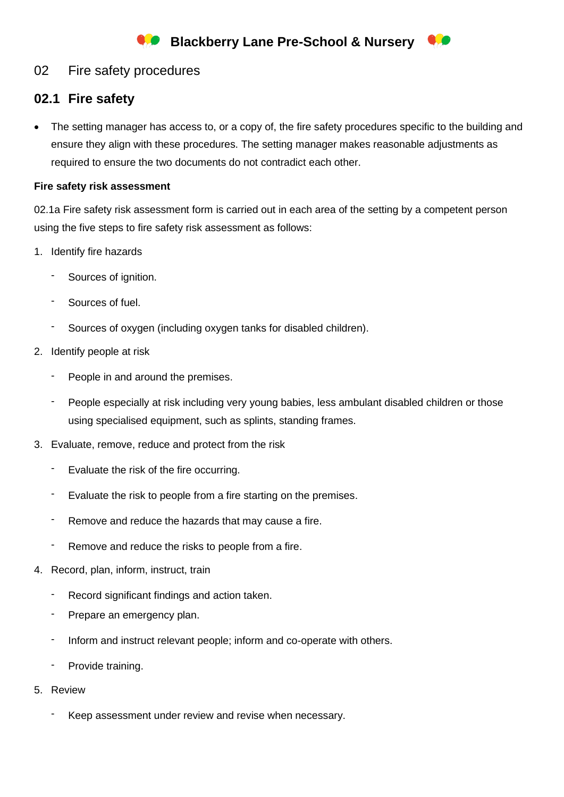## 02 Fire safety procedures

# **02.1 Fire safety**

• The setting manager has access to, or a copy of, the fire safety procedures specific to the building and ensure they align with these procedures. The setting manager makes reasonable adjustments as required to ensure the two documents do not contradict each other.

### **Fire safety risk assessment**

02.1a Fire safety risk assessment form is carried out in each area of the setting by a competent person using the five steps to fire safety risk assessment as follows:

- 1. Identify fire hazards
	- Sources of ignition.
	- Sources of fuel.
	- Sources of oxygen (including oxygen tanks for disabled children).
- 2. Identify people at risk
	- People in and around the premises.
	- People especially at risk including very young babies, less ambulant disabled children or those using specialised equipment, such as splints, standing frames.
- 3. Evaluate, remove, reduce and protect from the risk
	- Evaluate the risk of the fire occurring.
	- Evaluate the risk to people from a fire starting on the premises.
	- Remove and reduce the hazards that may cause a fire.
	- Remove and reduce the risks to people from a fire.
- 4. Record, plan, inform, instruct, train
	- Record significant findings and action taken.
	- Prepare an emergency plan.
	- Inform and instruct relevant people; inform and co-operate with others.
	- Provide training.
- 5. Review
	- Keep assessment under review and revise when necessary.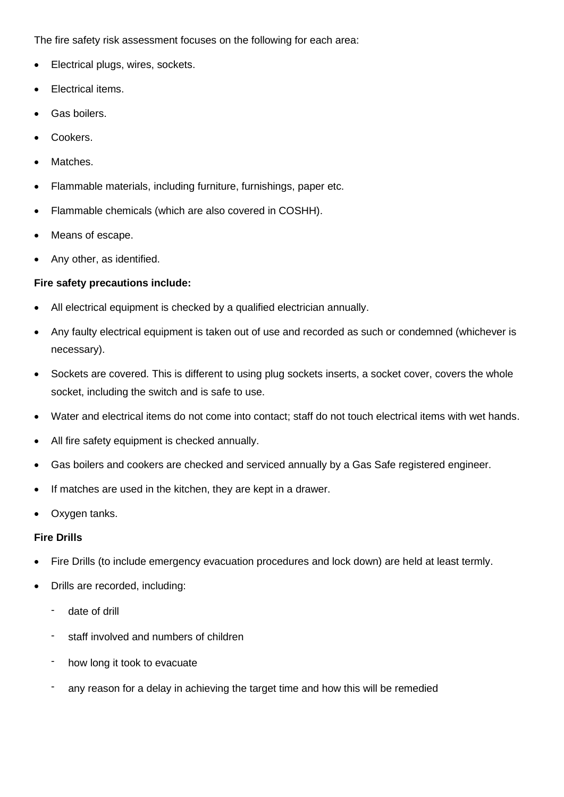The fire safety risk assessment focuses on the following for each area:

- Electrical plugs, wires, sockets.
- Electrical items.
- Gas boilers.
- Cookers.
- Matches.
- Flammable materials, including furniture, furnishings, paper etc.
- Flammable chemicals (which are also covered in COSHH).
- Means of escape.
- Any other, as identified.

#### **Fire safety precautions include:**

- All electrical equipment is checked by a qualified electrician annually.
- Any faulty electrical equipment is taken out of use and recorded as such or condemned (whichever is necessary).
- Sockets are covered. This is different to using plug sockets inserts, a socket cover, covers the whole socket, including the switch and is safe to use.
- Water and electrical items do not come into contact; staff do not touch electrical items with wet hands.
- All fire safety equipment is checked annually.
- Gas boilers and cookers are checked and serviced annually by a Gas Safe registered engineer.
- If matches are used in the kitchen, they are kept in a drawer.
- Oxygen tanks.

#### **Fire Drills**

- Fire Drills (to include emergency evacuation procedures and lock down) are held at least termly.
- Drills are recorded, including:
	- date of drill
	- staff involved and numbers of children
	- how long it took to evacuate
	- any reason for a delay in achieving the target time and how this will be remedied